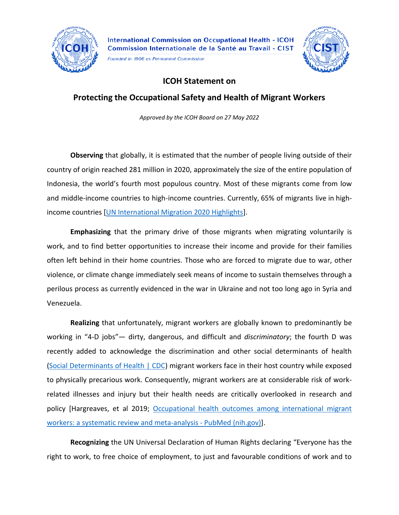

Founded in 1906 as Permanent Commission



## **ICOH Statement on**

**Protecting the Occupational Safety and Health of Migrant Workers**

*Approved by the ICOH Board on 27 May 2022*

**Observing** that globally, it is estimated that the number of people living outside of their country of origin reached 281 million in 2020, approximately the size of the entire population of Indonesia, the world's fourth most populous country. Most of these migrants come from low and middle-income countries to high-income countries. Currently, 65% of migrants live in highincome countries [\[UN International Migration 2020 Highlights\]](https://www.un.org/en/desa/international-migration-2020-highlights).

**Emphasizing** that the primary drive of those migrants when migrating voluntarily is work, and to find better opportunities to increase their income and provide for their families often left behind in their home countries. Those who are forced to migrate due to war, other violence, or climate change immediately seek means of income to sustain themselves through a perilous process as currently evidenced in the war in Ukraine and not too long ago in Syria and Venezuela.

**Realizing** that unfortunately, migrant workers are globally known to predominantly be working in "4-D jobs"— dirty, dangerous, and difficult and *discriminatory*; the fourth D was recently added to acknowledge the discrimination and other social determinants of health [\(Social Determinants of Health | CDC\)](https://www.cdc.gov/socialdeterminants/index.htm) migrant workers face in their host country while exposed to physically precarious work. Consequently, migrant workers are at considerable risk of workrelated illnesses and injury but their health needs are critically overlooked in research and policy [Hargreaves, et al 2019; [Occupational health outcomes among international migrant](https://pubmed.ncbi.nlm.nih.gov/31122905/)  [workers: a systematic review and meta-analysis -](https://pubmed.ncbi.nlm.nih.gov/31122905/) PubMed (nih.gov)].

**Recognizing** the UN Universal Declaration of Human Rights declaring "Everyone has the right to work, to free choice of employment, to just and favourable conditions of work and to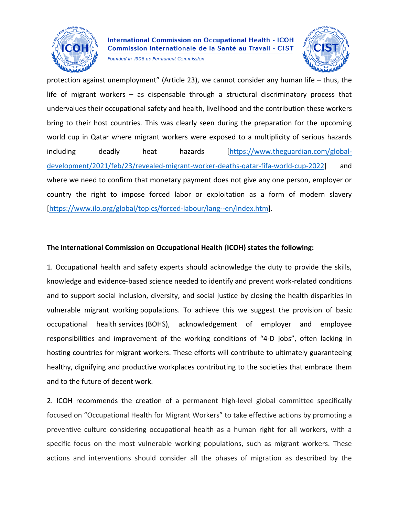

Founded in 1906 as Permanent Commission



protection against unemployment" (Article 23), we cannot consider any human life – thus, the life of migrant workers – as dispensable through a structural discriminatory process that undervalues their occupational safety and health, livelihood and the contribution these workers bring to their host countries. This was clearly seen during the preparation for the upcoming world cup in Qatar where migrant workers were exposed to a multiplicity of serious hazards including deadly heat hazards [\[https://www.theguardian.com/global](https://www.theguardian.com/global-development/2021/feb/23/revealed-migrant-worker-deaths-qatar-fifa-world-cup-2022)[development/2021/feb/23/revealed-migrant-worker-deaths-qatar-fifa-world-cup-2022\]](https://www.theguardian.com/global-development/2021/feb/23/revealed-migrant-worker-deaths-qatar-fifa-world-cup-2022) and where we need to confirm that monetary payment does not give any one person, employer or country the right to impose forced labor or exploitation as a form of modern slavery [\[https://www.ilo.org/global/topics/forced-labour/lang--en/index.htm\]](https://www.ilo.org/global/topics/forced-labour/lang--en/index.htm).

## **The International Commission on Occupational Health (ICOH) states the following:**

1. Occupational health and safety experts should acknowledge the duty to provide the skills, knowledge and evidence-based science needed to identify and prevent work-related conditions and to support social inclusion, diversity, and social justice by closing the health disparities in vulnerable migrant working populations. To achieve this we suggest the provision of basic occupational health services (BOHS), acknowledgement of employer and employee responsibilities and improvement of the working conditions of "4-D jobs", often lacking in hosting countries for migrant workers. These efforts will contribute to ultimately guaranteeing healthy, dignifying and productive workplaces contributing to the societies that embrace them and to the future of decent work.

2. ICOH recommends the creation of a permanent high-level global committee specifically focused on "Occupational Health for Migrant Workers" to take effective actions by promoting a preventive culture considering occupational health as a human right for all workers, with a specific focus on the most vulnerable working populations, such as migrant workers. These actions and interventions should consider all the phases of migration as described by the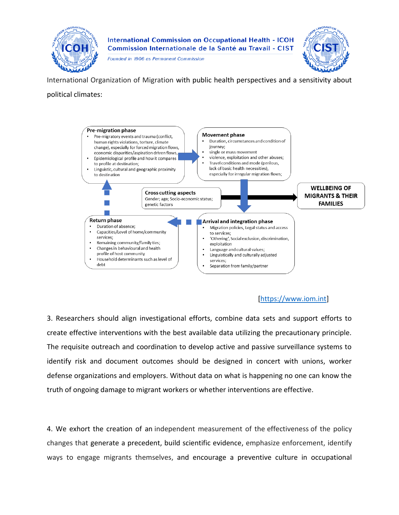

Founded in 1906 as Permanent Commission



International Organization of Migration with public health perspectives and a sensitivity about political climates:



## [\[https://www.iom.int\]](https://www.iom.int/)

3. Researchers should align investigational efforts, combine data sets and support efforts to create effective interventions with the best available data utilizing the precautionary principle. The requisite outreach and coordination to develop active and passive surveillance systems to identify risk and document outcomes should be designed in concert with unions, worker defense organizations and employers. Without data on what is happening no one can know the truth of ongoing damage to migrant workers or whether interventions are effective.

4. We exhort the creation of an independent measurement of the effectiveness of the policy changes that generate a precedent, build scientific evidence, emphasize enforcement, identify ways to engage migrants themselves, and encourage a preventive culture in occupational